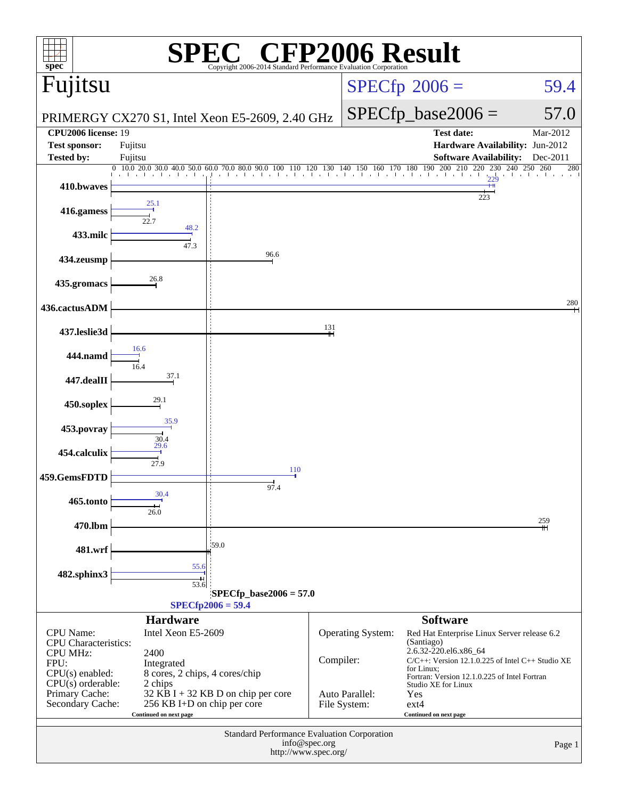| $spec^*$                                                                                                                    |                                                                                                                  | <b>C® CFP2006 Result</b><br>Copyright 2006-2014 Standard Performance Evaluation Corporation |           |                                |                                                                                                                                        |                       |  |  |
|-----------------------------------------------------------------------------------------------------------------------------|------------------------------------------------------------------------------------------------------------------|---------------------------------------------------------------------------------------------|-----------|--------------------------------|----------------------------------------------------------------------------------------------------------------------------------------|-----------------------|--|--|
| Fujitsu                                                                                                                     |                                                                                                                  |                                                                                             |           |                                | $SPECfp^{\circ}2006 =$                                                                                                                 | 59.4                  |  |  |
| PRIMERGY CX270 S1, Intel Xeon E5-2609, 2.40 GHz                                                                             |                                                                                                                  |                                                                                             |           |                                | $SPECfp\_base2006 =$                                                                                                                   | 57.0                  |  |  |
| <b>CPU2006</b> license: 19                                                                                                  |                                                                                                                  |                                                                                             |           |                                | <b>Test date:</b>                                                                                                                      | Mar-2012              |  |  |
| <b>Test sponsor:</b><br><b>Tested by:</b>                                                                                   | Fujitsu<br>Fujitsu                                                                                               |                                                                                             |           |                                | Hardware Availability: Jun-2012<br><b>Software Availability:</b>                                                                       | Dec-2011              |  |  |
|                                                                                                                             | $0 \quad 10.0 \quad 20.0 \quad 30.0 \quad 40.0 \quad 50.0 \quad 60.0 \quad 70.0 \quad 80.0 \quad 90.0 \quad 100$ | and the change of the                                                                       |           |                                | $0 \quad 110 \quad 120 \quad 130 \quad 140 \quad 150 \quad 160 \quad 170 \quad 180 \quad 190 \quad 200 \quad 210$<br>220<br>230<br>229 | 240<br>250 260<br>280 |  |  |
| 410.bwaves                                                                                                                  |                                                                                                                  |                                                                                             |           |                                |                                                                                                                                        |                       |  |  |
| 416.gamess                                                                                                                  | 25.1                                                                                                             |                                                                                             |           |                                | 223                                                                                                                                    |                       |  |  |
| 433.milc                                                                                                                    | 48.2<br>47.3                                                                                                     |                                                                                             |           |                                |                                                                                                                                        |                       |  |  |
| 434.zeusmp                                                                                                                  |                                                                                                                  | 96.6                                                                                        |           |                                |                                                                                                                                        |                       |  |  |
| 435.gromacs                                                                                                                 | 26.8                                                                                                             |                                                                                             |           |                                |                                                                                                                                        |                       |  |  |
| 436.cactusADM                                                                                                               |                                                                                                                  |                                                                                             |           |                                |                                                                                                                                        | 280                   |  |  |
| 437.leslie3d                                                                                                                |                                                                                                                  |                                                                                             | 131       |                                |                                                                                                                                        |                       |  |  |
| 444.namd                                                                                                                    | 16.6<br>16.4                                                                                                     |                                                                                             |           |                                |                                                                                                                                        |                       |  |  |
| 447.dealII                                                                                                                  | 37.1                                                                                                             |                                                                                             |           |                                |                                                                                                                                        |                       |  |  |
| 450.soplex                                                                                                                  | 29.1                                                                                                             |                                                                                             |           |                                |                                                                                                                                        |                       |  |  |
| 453.povray                                                                                                                  | 35.9<br>30.4<br>29.6                                                                                             |                                                                                             |           |                                |                                                                                                                                        |                       |  |  |
| 454.calculix                                                                                                                | 27.9                                                                                                             | 110                                                                                         |           |                                |                                                                                                                                        |                       |  |  |
| 459.GemsFDTD                                                                                                                |                                                                                                                  | 97.4                                                                                        |           |                                |                                                                                                                                        |                       |  |  |
| <b>465.tonto</b>                                                                                                            | 30.4<br>26.0                                                                                                     |                                                                                             |           |                                |                                                                                                                                        |                       |  |  |
| 470.lbm                                                                                                                     |                                                                                                                  |                                                                                             |           |                                |                                                                                                                                        | 259                   |  |  |
| 481.wrf                                                                                                                     |                                                                                                                  | 159.0                                                                                       |           |                                |                                                                                                                                        |                       |  |  |
| 482.sphinx3                                                                                                                 | 55.6<br>$\frac{1}{53.6}$                                                                                         |                                                                                             |           |                                |                                                                                                                                        |                       |  |  |
|                                                                                                                             |                                                                                                                  | $SPECfp\_base2006 = 57.0$                                                                   |           |                                |                                                                                                                                        |                       |  |  |
|                                                                                                                             | <b>Hardware</b>                                                                                                  | $SPECfp2006 = 59.4$                                                                         |           |                                | <b>Software</b>                                                                                                                        |                       |  |  |
| <b>CPU</b> Name:<br><b>CPU</b> Characteristics:                                                                             | Intel Xeon E5-2609                                                                                               |                                                                                             |           | Operating System:              | Red Hat Enterprise Linux Server release 6.2<br>(Santiago)                                                                              |                       |  |  |
| <b>CPU MHz:</b><br>2400<br>FPU:<br>Integrated                                                                               |                                                                                                                  |                                                                                             | Compiler: |                                | 2.6.32-220.el6.x86_64<br>$C/C++$ : Version 12.1.0.225 of Intel $C++$ Studio XE<br>for Linux;                                           |                       |  |  |
| $CPU(s)$ enabled:<br>8 cores, 2 chips, 4 cores/chip<br>$CPU(s)$ orderable:<br>2 chips<br>32 KB I + 32 KB D on chip per core |                                                                                                                  |                                                                                             |           |                                | Fortran: Version 12.1.0.225 of Intel Fortran<br>Studio XE for Linux                                                                    |                       |  |  |
| Primary Cache:<br>Secondary Cache:                                                                                          | 256 KB I+D on chip per core<br>Continued on next page                                                            |                                                                                             |           | Auto Parallel:<br>File System: | Yes<br>$ext{4}$<br>Continued on next page                                                                                              |                       |  |  |
| Standard Performance Evaluation Corporation<br>info@spec.org<br>Page 1                                                      |                                                                                                                  |                                                                                             |           |                                |                                                                                                                                        |                       |  |  |
| http://www.spec.org/                                                                                                        |                                                                                                                  |                                                                                             |           |                                |                                                                                                                                        |                       |  |  |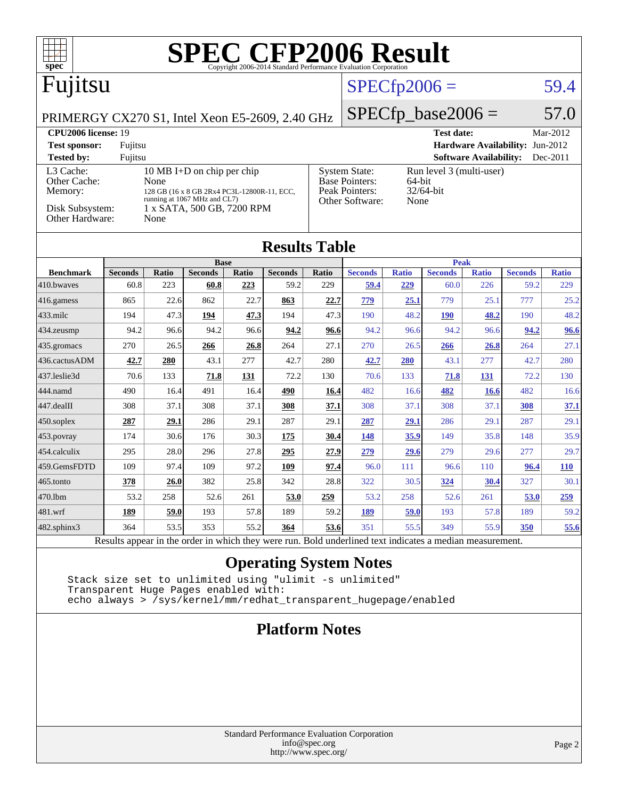| <b>SPEC CFP2006 Result</b><br>spec <sup>8</sup><br>Copyright 2006-2014 Standard Performance Evaluation Corporation |                |              |                                                            |       |                      |                   |                                               |                              |                             |                               |                |              |
|--------------------------------------------------------------------------------------------------------------------|----------------|--------------|------------------------------------------------------------|-------|----------------------|-------------------|-----------------------------------------------|------------------------------|-----------------------------|-------------------------------|----------------|--------------|
| Fujitsu                                                                                                            |                |              |                                                            |       |                      | $SPECfp2006 =$    |                                               |                              | 59.4                        |                               |                |              |
| PRIMERGY CX270 S1, Intel Xeon E5-2609, 2.40 GHz                                                                    |                |              |                                                            |       |                      |                   |                                               |                              | $SPECfp\_base2006 =$        |                               |                | 57.0         |
| <b>CPU2006</b> license: 19<br><b>Test date:</b>                                                                    |                |              |                                                            |       |                      |                   | Mar-2012                                      |                              |                             |                               |                |              |
| Hardware Availability: Jun-2012<br><b>Test sponsor:</b><br>Fujitsu                                                 |                |              |                                                            |       |                      |                   |                                               |                              |                             |                               |                |              |
| <b>Tested by:</b>                                                                                                  | Fujitsu        |              |                                                            |       |                      |                   |                                               |                              |                             | <b>Software Availability:</b> |                | Dec-2011     |
| L3 Cache:<br>Other Cache:                                                                                          |                | None         | 10 MB I+D on chip per chip                                 |       |                      |                   | <b>System State:</b><br><b>Base Pointers:</b> |                              | Run level 3 (multi-user)    |                               |                |              |
| Memory:                                                                                                            |                |              | 128 GB (16 x 8 GB 2Rx4 PC3L-12800R-11, ECC,                |       |                      |                   | Peak Pointers:                                | 64-bit<br>32/64-bit          |                             |                               |                |              |
| Disk Subsystem:                                                                                                    |                |              | running at 1067 MHz and CL7)<br>1 x SATA, 500 GB, 7200 RPM |       |                      |                   | Other Software:                               | None                         |                             |                               |                |              |
| Other Hardware:                                                                                                    |                | None         |                                                            |       |                      |                   |                                               |                              |                             |                               |                |              |
|                                                                                                                    |                |              |                                                            |       |                      |                   |                                               |                              |                             |                               |                |              |
|                                                                                                                    |                |              |                                                            |       | <b>Results Table</b> |                   |                                               |                              |                             |                               |                |              |
|                                                                                                                    |                |              | <b>Base</b>                                                |       |                      |                   |                                               |                              |                             | <b>Peak</b>                   |                |              |
| <b>Benchmark</b>                                                                                                   | <b>Seconds</b> | <b>Ratio</b> | <b>Seconds</b>                                             | Ratio | <b>Seconds</b>       | Ratio             | <b>Seconds</b>                                | <b>Ratio</b>                 | <b>Seconds</b>              | <b>Ratio</b>                  | <b>Seconds</b> | <b>Ratio</b> |
| 410.bwaves                                                                                                         | 60.8           | 223          | 60.8                                                       | 223   | 59.2                 | 229               | 59.4                                          | 229                          | 60.0                        | 226                           | 59.2           | 229          |
| 416.gamess                                                                                                         | 865            | 22.6         | 862                                                        | 22.7  | 863                  | 22.7              | 779                                           | 25.1                         | 779                         | 25.1                          | 777            | 25.2         |
| $433$ .milc                                                                                                        | 194            | 47.3         | 194                                                        | 47.3  | 194                  | 47.3              | 190                                           | 48.2                         | <b>190</b>                  | 48.2                          | 190            | 48.2         |
| 434.zeusmp                                                                                                         | 94.2           | 96.6         | 94.2                                                       | 96.6  | 94.2                 | 96.6              | 94.2                                          | 96.6                         | 94.2                        | 96.6                          | 94.2           | 96.6         |
| 435.gromacs                                                                                                        | 270            | 26.5         | 266                                                        | 26.8  | 264                  | 27.1              | 270                                           | 26.5                         | 266                         | 26.8                          | 264            | 27.1         |
| 436.cactusADM                                                                                                      | 42.7           | 280          | 43.1                                                       | 277   | 42.7                 | 280               | 42.7                                          | 280                          | 43.1                        | 277                           | 42.7           | 280          |
| 437.leslie3d                                                                                                       | 70.6           | 133          | 71.8                                                       | 131   | 72.2                 | 130               | 70.6                                          | 133                          | 71.8                        | 131                           | 72.2           | 130          |
| 444.namd                                                                                                           | 490            | 16.4         | 491                                                        | 16.4  | 490                  | 16.4              | 482                                           | 16.6                         | 482                         | 16.6                          | 482            | 16.6         |
| 447.dealII                                                                                                         | 308            | 37.1         | 308                                                        | 37.1  | 308                  | 37.1              | 308                                           | 37.1                         | 308                         | 37.1                          | 308            | 37.1         |
| $450$ .soplex                                                                                                      | 287            | 29.1         | 286                                                        | 29.1  | 287                  | 29.1              | 287                                           | 29.1                         | 286                         | 29.1                          | 287            | 29.1         |
| $453$ .povray                                                                                                      | 174            | 30.6         | 176                                                        | 30.3  | 175                  | 30.4              | 148                                           | 35.9                         | 149                         | 35.8                          | 148            | 35.9         |
| 454.calculix                                                                                                       | 295            | 28.0         | 296                                                        | 27.8  | 295                  | 27.9              | 279                                           | 29.6                         | 279                         | 29.6                          | 277            | 29.7         |
| 459.GemsFDTD                                                                                                       | 109            | 97.4         | 109                                                        | 97.2  | 109                  | 97.4              | 96.0                                          | 111                          | 96.6                        | 110                           | 96.4           | <b>110</b>   |
| 465.tonto                                                                                                          | 378            | 26.0         | 382                                                        | 25.8  | 342                  | 28.8              | 322                                           | 30.5                         | 324                         | 30.4                          | 327            | 30.1         |
| 470.1bm                                                                                                            | 53.2           | 258          | 52.6                                                       | 261   | 53.0                 | 259               | 53.2                                          | 258                          | 52.6                        | 261                           | 53.0           | 259          |
| 481.wrf                                                                                                            | 189            | 59.0         | 193                                                        | 57.8  | 189                  | 59.2              | 189                                           | 59.0                         | 193                         | 57.8                          | 189            | 59.2         |
| $482$ .sphinx $3$                                                                                                  | 364            | 53.5         | 353                                                        | 55.2  | 364                  | 53.6<br>$T = 1.1$ | 351<br>$\mathbf{1}$                           | 55.5<br>$\sim$ $\sim$ $\sim$ | 349<br>$\ddot{\phantom{a}}$ | 55.9                          | 350            | 55.6         |

Results appear in the [order in which they were run.](http://www.spec.org/auto/cpu2006/Docs/result-fields.html#RunOrder) Bold underlined text [indicates a median measurement.](http://www.spec.org/auto/cpu2006/Docs/result-fields.html#Median)

## **[Operating System Notes](http://www.spec.org/auto/cpu2006/Docs/result-fields.html#OperatingSystemNotes)**

 Stack size set to unlimited using "ulimit -s unlimited" Transparent Huge Pages enabled with: echo always > /sys/kernel/mm/redhat\_transparent\_hugepage/enabled

## **[Platform Notes](http://www.spec.org/auto/cpu2006/Docs/result-fields.html#PlatformNotes)**

### Standard Performance Evaluation Corporation [info@spec.org](mailto:info@spec.org) <http://www.spec.org/>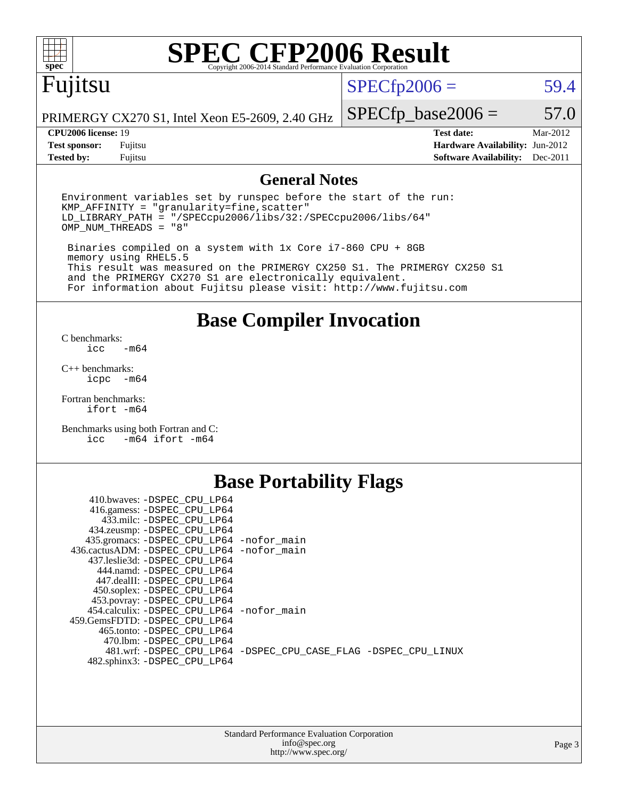

# **[SPEC CFP2006 Result](http://www.spec.org/auto/cpu2006/Docs/result-fields.html#SPECCFP2006Result)**

# Fujitsu

 $SPECfp2006 = 59.4$  $SPECfp2006 = 59.4$ 

PRIMERGY CX270 S1, Intel Xeon E5-2609, 2.40 GHz

 $SPECfp\_base2006 = 57.0$ **[CPU2006 license:](http://www.spec.org/auto/cpu2006/Docs/result-fields.html#CPU2006license)** 19 **[Test date:](http://www.spec.org/auto/cpu2006/Docs/result-fields.html#Testdate)** Mar-2012

**[Test sponsor:](http://www.spec.org/auto/cpu2006/Docs/result-fields.html#Testsponsor)** Fujitsu **[Hardware Availability:](http://www.spec.org/auto/cpu2006/Docs/result-fields.html#HardwareAvailability)** Jun-2012 **[Tested by:](http://www.spec.org/auto/cpu2006/Docs/result-fields.html#Testedby)** Fujitsu **[Software Availability:](http://www.spec.org/auto/cpu2006/Docs/result-fields.html#SoftwareAvailability)** Dec-2011

### **[General Notes](http://www.spec.org/auto/cpu2006/Docs/result-fields.html#GeneralNotes)**

Environment variables set by runspec before the start of the run:  $KMP$  AFFINITY = "granularity=fine, scatter" LD\_LIBRARY\_PATH = "/SPECcpu2006/libs/32:/SPECcpu2006/libs/64" OMP\_NUM\_THREADS = "8"

 Binaries compiled on a system with 1x Core i7-860 CPU + 8GB memory using RHEL5.5 This result was measured on the PRIMERGY CX250 S1. The PRIMERGY CX250 S1 and the PRIMERGY CX270 S1 are electronically equivalent. For information about Fujitsu please visit: <http://www.fujitsu.com>

**[Base Compiler Invocation](http://www.spec.org/auto/cpu2006/Docs/result-fields.html#BaseCompilerInvocation)**

[C benchmarks](http://www.spec.org/auto/cpu2006/Docs/result-fields.html#Cbenchmarks):  $-m64$ 

[C++ benchmarks:](http://www.spec.org/auto/cpu2006/Docs/result-fields.html#CXXbenchmarks) [icpc -m64](http://www.spec.org/cpu2006/results/res2012q3/cpu2006-20120620-23073.flags.html#user_CXXbase_intel_icpc_64bit_bedb90c1146cab66620883ef4f41a67e)

[Fortran benchmarks](http://www.spec.org/auto/cpu2006/Docs/result-fields.html#Fortranbenchmarks): [ifort -m64](http://www.spec.org/cpu2006/results/res2012q3/cpu2006-20120620-23073.flags.html#user_FCbase_intel_ifort_64bit_ee9d0fb25645d0210d97eb0527dcc06e)

[Benchmarks using both Fortran and C](http://www.spec.org/auto/cpu2006/Docs/result-fields.html#BenchmarksusingbothFortranandC): [icc -m64](http://www.spec.org/cpu2006/results/res2012q3/cpu2006-20120620-23073.flags.html#user_CC_FCbase_intel_icc_64bit_0b7121f5ab7cfabee23d88897260401c) [ifort -m64](http://www.spec.org/cpu2006/results/res2012q3/cpu2006-20120620-23073.flags.html#user_CC_FCbase_intel_ifort_64bit_ee9d0fb25645d0210d97eb0527dcc06e)

# **[Base Portability Flags](http://www.spec.org/auto/cpu2006/Docs/result-fields.html#BasePortabilityFlags)**

| 410.bwaves: -DSPEC CPU LP64<br>416.gamess: -DSPEC_CPU_LP64<br>433.milc: -DSPEC CPU LP64 |                                                                |
|-----------------------------------------------------------------------------------------|----------------------------------------------------------------|
| 434.zeusmp: -DSPEC_CPU_LP64                                                             |                                                                |
| 435.gromacs: -DSPEC_CPU_LP64 -nofor_main                                                |                                                                |
| 436.cactusADM: - DSPEC CPU LP64 - nofor main                                            |                                                                |
| 437.leslie3d: -DSPEC CPU LP64                                                           |                                                                |
| 444.namd: - DSPEC CPU LP64                                                              |                                                                |
| 447.dealII: -DSPEC CPU LP64                                                             |                                                                |
| 450.soplex: -DSPEC_CPU_LP64                                                             |                                                                |
| 453.povray: -DSPEC_CPU_LP64                                                             |                                                                |
| 454.calculix: - DSPEC CPU LP64 - nofor main                                             |                                                                |
| 459. GemsFDTD: - DSPEC CPU LP64                                                         |                                                                |
| 465.tonto: - DSPEC CPU LP64                                                             |                                                                |
| 470.1bm: - DSPEC CPU LP64                                                               |                                                                |
|                                                                                         | 481.wrf: -DSPEC_CPU_LP64 -DSPEC_CPU_CASE_FLAG -DSPEC_CPU_LINUX |
| 482.sphinx3: -DSPEC_CPU_LP64                                                            |                                                                |
|                                                                                         |                                                                |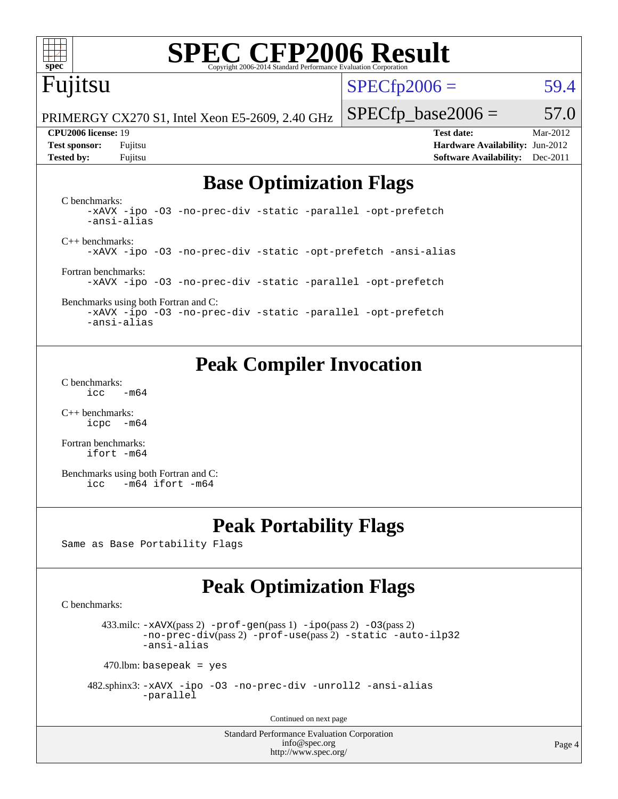

# **[SPEC CFP2006 Result](http://www.spec.org/auto/cpu2006/Docs/result-fields.html#SPECCFP2006Result)**

# Fujitsu

 $SPECTp2006 = 59.4$ 

PRIMERGY CX270 S1, Intel Xeon E5-2609, 2.40 GHz

**[Test sponsor:](http://www.spec.org/auto/cpu2006/Docs/result-fields.html#Testsponsor)** Fujitsu **[Hardware Availability:](http://www.spec.org/auto/cpu2006/Docs/result-fields.html#HardwareAvailability)** Jun-2012 **[Tested by:](http://www.spec.org/auto/cpu2006/Docs/result-fields.html#Testedby)** Fujitsu **[Software Availability:](http://www.spec.org/auto/cpu2006/Docs/result-fields.html#SoftwareAvailability)** Dec-2011

 $SPECTp\_base2006 = 57.0$ **[CPU2006 license:](http://www.spec.org/auto/cpu2006/Docs/result-fields.html#CPU2006license)** 19 **[Test date:](http://www.spec.org/auto/cpu2006/Docs/result-fields.html#Testdate)** Mar-2012

# **[Base Optimization Flags](http://www.spec.org/auto/cpu2006/Docs/result-fields.html#BaseOptimizationFlags)**

[C benchmarks](http://www.spec.org/auto/cpu2006/Docs/result-fields.html#Cbenchmarks): [-xAVX](http://www.spec.org/cpu2006/results/res2012q3/cpu2006-20120620-23073.flags.html#user_CCbase_f-xAVX) [-ipo](http://www.spec.org/cpu2006/results/res2012q3/cpu2006-20120620-23073.flags.html#user_CCbase_f-ipo) [-O3](http://www.spec.org/cpu2006/results/res2012q3/cpu2006-20120620-23073.flags.html#user_CCbase_f-O3) [-no-prec-div](http://www.spec.org/cpu2006/results/res2012q3/cpu2006-20120620-23073.flags.html#user_CCbase_f-no-prec-div) [-static](http://www.spec.org/cpu2006/results/res2012q3/cpu2006-20120620-23073.flags.html#user_CCbase_f-static) [-parallel](http://www.spec.org/cpu2006/results/res2012q3/cpu2006-20120620-23073.flags.html#user_CCbase_f-parallel) [-opt-prefetch](http://www.spec.org/cpu2006/results/res2012q3/cpu2006-20120620-23073.flags.html#user_CCbase_f-opt-prefetch) [-ansi-alias](http://www.spec.org/cpu2006/results/res2012q3/cpu2006-20120620-23073.flags.html#user_CCbase_f-ansi-alias) [C++ benchmarks:](http://www.spec.org/auto/cpu2006/Docs/result-fields.html#CXXbenchmarks) [-xAVX](http://www.spec.org/cpu2006/results/res2012q3/cpu2006-20120620-23073.flags.html#user_CXXbase_f-xAVX) [-ipo](http://www.spec.org/cpu2006/results/res2012q3/cpu2006-20120620-23073.flags.html#user_CXXbase_f-ipo) [-O3](http://www.spec.org/cpu2006/results/res2012q3/cpu2006-20120620-23073.flags.html#user_CXXbase_f-O3) [-no-prec-div](http://www.spec.org/cpu2006/results/res2012q3/cpu2006-20120620-23073.flags.html#user_CXXbase_f-no-prec-div) [-static](http://www.spec.org/cpu2006/results/res2012q3/cpu2006-20120620-23073.flags.html#user_CXXbase_f-static) [-opt-prefetch](http://www.spec.org/cpu2006/results/res2012q3/cpu2006-20120620-23073.flags.html#user_CXXbase_f-opt-prefetch) [-ansi-alias](http://www.spec.org/cpu2006/results/res2012q3/cpu2006-20120620-23073.flags.html#user_CXXbase_f-ansi-alias) [Fortran benchmarks](http://www.spec.org/auto/cpu2006/Docs/result-fields.html#Fortranbenchmarks): [-xAVX](http://www.spec.org/cpu2006/results/res2012q3/cpu2006-20120620-23073.flags.html#user_FCbase_f-xAVX) [-ipo](http://www.spec.org/cpu2006/results/res2012q3/cpu2006-20120620-23073.flags.html#user_FCbase_f-ipo) [-O3](http://www.spec.org/cpu2006/results/res2012q3/cpu2006-20120620-23073.flags.html#user_FCbase_f-O3) [-no-prec-div](http://www.spec.org/cpu2006/results/res2012q3/cpu2006-20120620-23073.flags.html#user_FCbase_f-no-prec-div) [-static](http://www.spec.org/cpu2006/results/res2012q3/cpu2006-20120620-23073.flags.html#user_FCbase_f-static) [-parallel](http://www.spec.org/cpu2006/results/res2012q3/cpu2006-20120620-23073.flags.html#user_FCbase_f-parallel) [-opt-prefetch](http://www.spec.org/cpu2006/results/res2012q3/cpu2006-20120620-23073.flags.html#user_FCbase_f-opt-prefetch)

[Benchmarks using both Fortran and C](http://www.spec.org/auto/cpu2006/Docs/result-fields.html#BenchmarksusingbothFortranandC): [-xAVX](http://www.spec.org/cpu2006/results/res2012q3/cpu2006-20120620-23073.flags.html#user_CC_FCbase_f-xAVX) [-ipo](http://www.spec.org/cpu2006/results/res2012q3/cpu2006-20120620-23073.flags.html#user_CC_FCbase_f-ipo) [-O3](http://www.spec.org/cpu2006/results/res2012q3/cpu2006-20120620-23073.flags.html#user_CC_FCbase_f-O3) [-no-prec-div](http://www.spec.org/cpu2006/results/res2012q3/cpu2006-20120620-23073.flags.html#user_CC_FCbase_f-no-prec-div) [-static](http://www.spec.org/cpu2006/results/res2012q3/cpu2006-20120620-23073.flags.html#user_CC_FCbase_f-static) [-parallel](http://www.spec.org/cpu2006/results/res2012q3/cpu2006-20120620-23073.flags.html#user_CC_FCbase_f-parallel) [-opt-prefetch](http://www.spec.org/cpu2006/results/res2012q3/cpu2006-20120620-23073.flags.html#user_CC_FCbase_f-opt-prefetch) [-ansi-alias](http://www.spec.org/cpu2006/results/res2012q3/cpu2006-20120620-23073.flags.html#user_CC_FCbase_f-ansi-alias)

# **[Peak Compiler Invocation](http://www.spec.org/auto/cpu2006/Docs/result-fields.html#PeakCompilerInvocation)**

[C benchmarks](http://www.spec.org/auto/cpu2006/Docs/result-fields.html#Cbenchmarks):  $\text{icc}$  -m64

[C++ benchmarks:](http://www.spec.org/auto/cpu2006/Docs/result-fields.html#CXXbenchmarks) [icpc -m64](http://www.spec.org/cpu2006/results/res2012q3/cpu2006-20120620-23073.flags.html#user_CXXpeak_intel_icpc_64bit_bedb90c1146cab66620883ef4f41a67e)

[Fortran benchmarks](http://www.spec.org/auto/cpu2006/Docs/result-fields.html#Fortranbenchmarks): [ifort -m64](http://www.spec.org/cpu2006/results/res2012q3/cpu2006-20120620-23073.flags.html#user_FCpeak_intel_ifort_64bit_ee9d0fb25645d0210d97eb0527dcc06e)

[Benchmarks using both Fortran and C](http://www.spec.org/auto/cpu2006/Docs/result-fields.html#BenchmarksusingbothFortranandC): [icc -m64](http://www.spec.org/cpu2006/results/res2012q3/cpu2006-20120620-23073.flags.html#user_CC_FCpeak_intel_icc_64bit_0b7121f5ab7cfabee23d88897260401c) [ifort -m64](http://www.spec.org/cpu2006/results/res2012q3/cpu2006-20120620-23073.flags.html#user_CC_FCpeak_intel_ifort_64bit_ee9d0fb25645d0210d97eb0527dcc06e)

# **[Peak Portability Flags](http://www.spec.org/auto/cpu2006/Docs/result-fields.html#PeakPortabilityFlags)**

Same as Base Portability Flags

# **[Peak Optimization Flags](http://www.spec.org/auto/cpu2006/Docs/result-fields.html#PeakOptimizationFlags)**

[C benchmarks](http://www.spec.org/auto/cpu2006/Docs/result-fields.html#Cbenchmarks):

433.milc:  $-x$ AVX(pass 2)  $-p$ rof-gen(pass 1)  $-p$ po(pass 2)  $-03$ (pass 2) [-no-prec-div](http://www.spec.org/cpu2006/results/res2012q3/cpu2006-20120620-23073.flags.html#user_peakPASS2_CFLAGSPASS2_LDFLAGS433_milc_f-no-prec-div)(pass 2) [-prof-use](http://www.spec.org/cpu2006/results/res2012q3/cpu2006-20120620-23073.flags.html#user_peakPASS2_CFLAGSPASS2_LDFLAGS433_milc_prof_use_bccf7792157ff70d64e32fe3e1250b55)(pass 2) [-static](http://www.spec.org/cpu2006/results/res2012q3/cpu2006-20120620-23073.flags.html#user_peakOPTIMIZE433_milc_f-static) [-auto-ilp32](http://www.spec.org/cpu2006/results/res2012q3/cpu2006-20120620-23073.flags.html#user_peakCOPTIMIZE433_milc_f-auto-ilp32) [-ansi-alias](http://www.spec.org/cpu2006/results/res2012q3/cpu2006-20120620-23073.flags.html#user_peakCOPTIMIZE433_milc_f-ansi-alias)

 $470$ .lbm: basepeak = yes

 482.sphinx3: [-xAVX](http://www.spec.org/cpu2006/results/res2012q3/cpu2006-20120620-23073.flags.html#user_peakOPTIMIZE482_sphinx3_f-xAVX) [-ipo](http://www.spec.org/cpu2006/results/res2012q3/cpu2006-20120620-23073.flags.html#user_peakOPTIMIZE482_sphinx3_f-ipo) [-O3](http://www.spec.org/cpu2006/results/res2012q3/cpu2006-20120620-23073.flags.html#user_peakOPTIMIZE482_sphinx3_f-O3) [-no-prec-div](http://www.spec.org/cpu2006/results/res2012q3/cpu2006-20120620-23073.flags.html#user_peakOPTIMIZE482_sphinx3_f-no-prec-div) [-unroll2](http://www.spec.org/cpu2006/results/res2012q3/cpu2006-20120620-23073.flags.html#user_peakCOPTIMIZE482_sphinx3_f-unroll_784dae83bebfb236979b41d2422d7ec2) [-ansi-alias](http://www.spec.org/cpu2006/results/res2012q3/cpu2006-20120620-23073.flags.html#user_peakCOPTIMIZE482_sphinx3_f-ansi-alias) [-parallel](http://www.spec.org/cpu2006/results/res2012q3/cpu2006-20120620-23073.flags.html#user_peakCOPTIMIZE482_sphinx3_f-parallel)

Continued on next page

Standard Performance Evaluation Corporation [info@spec.org](mailto:info@spec.org) <http://www.spec.org/>

Page 4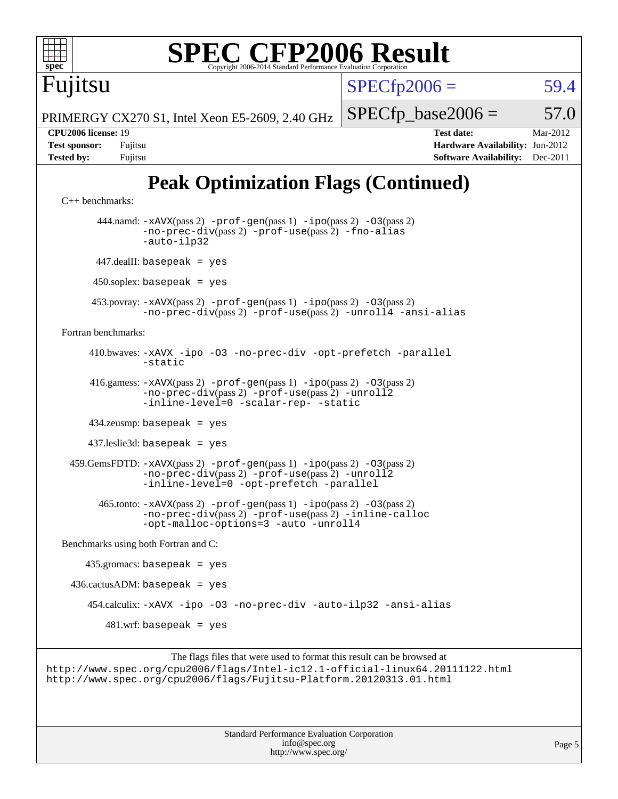

```
 416.gamess: -xAVX(pass 2) -prof-gen(pass 1) -ipo(pass 2) -O3(pass 2)
          -no-prec-div(pass 2) -prof-use(pass 2) -unroll2
          -inline-level=0-scalar-rep--static
```
434.zeusmp: basepeak = yes

437.leslie3d: basepeak = yes

 459.GemsFDTD: [-xAVX](http://www.spec.org/cpu2006/results/res2012q3/cpu2006-20120620-23073.flags.html#user_peakPASS2_FFLAGSPASS2_LDFLAGS459_GemsFDTD_f-xAVX)(pass 2) [-prof-gen](http://www.spec.org/cpu2006/results/res2012q3/cpu2006-20120620-23073.flags.html#user_peakPASS1_FFLAGSPASS1_LDFLAGS459_GemsFDTD_prof_gen_e43856698f6ca7b7e442dfd80e94a8fc)(pass 1) [-ipo](http://www.spec.org/cpu2006/results/res2012q3/cpu2006-20120620-23073.flags.html#user_peakPASS2_FFLAGSPASS2_LDFLAGS459_GemsFDTD_f-ipo)(pass 2) [-O3](http://www.spec.org/cpu2006/results/res2012q3/cpu2006-20120620-23073.flags.html#user_peakPASS2_FFLAGSPASS2_LDFLAGS459_GemsFDTD_f-O3)(pass 2) [-no-prec-div](http://www.spec.org/cpu2006/results/res2012q3/cpu2006-20120620-23073.flags.html#user_peakPASS2_FFLAGSPASS2_LDFLAGS459_GemsFDTD_f-no-prec-div)(pass 2) [-prof-use](http://www.spec.org/cpu2006/results/res2012q3/cpu2006-20120620-23073.flags.html#user_peakPASS2_FFLAGSPASS2_LDFLAGS459_GemsFDTD_prof_use_bccf7792157ff70d64e32fe3e1250b55)(pass 2) [-unroll2](http://www.spec.org/cpu2006/results/res2012q3/cpu2006-20120620-23073.flags.html#user_peakOPTIMIZE459_GemsFDTD_f-unroll_784dae83bebfb236979b41d2422d7ec2) [-inline-level=0](http://www.spec.org/cpu2006/results/res2012q3/cpu2006-20120620-23073.flags.html#user_peakOPTIMIZE459_GemsFDTD_f-inline-level_318d07a09274ad25e8d15dbfaa68ba50) [-opt-prefetch](http://www.spec.org/cpu2006/results/res2012q3/cpu2006-20120620-23073.flags.html#user_peakOPTIMIZE459_GemsFDTD_f-opt-prefetch) [-parallel](http://www.spec.org/cpu2006/results/res2012q3/cpu2006-20120620-23073.flags.html#user_peakOPTIMIZE459_GemsFDTD_f-parallel)

 465.tonto: [-xAVX](http://www.spec.org/cpu2006/results/res2012q3/cpu2006-20120620-23073.flags.html#user_peakPASS2_FFLAGSPASS2_LDFLAGS465_tonto_f-xAVX)(pass 2) [-prof-gen](http://www.spec.org/cpu2006/results/res2012q3/cpu2006-20120620-23073.flags.html#user_peakPASS1_FFLAGSPASS1_LDFLAGS465_tonto_prof_gen_e43856698f6ca7b7e442dfd80e94a8fc)(pass 1) [-ipo](http://www.spec.org/cpu2006/results/res2012q3/cpu2006-20120620-23073.flags.html#user_peakPASS2_FFLAGSPASS2_LDFLAGS465_tonto_f-ipo)(pass 2) [-O3](http://www.spec.org/cpu2006/results/res2012q3/cpu2006-20120620-23073.flags.html#user_peakPASS2_FFLAGSPASS2_LDFLAGS465_tonto_f-O3)(pass 2) [-no-prec-div](http://www.spec.org/cpu2006/results/res2012q3/cpu2006-20120620-23073.flags.html#user_peakPASS2_FFLAGSPASS2_LDFLAGS465_tonto_f-no-prec-div)(pass 2) [-prof-use](http://www.spec.org/cpu2006/results/res2012q3/cpu2006-20120620-23073.flags.html#user_peakPASS2_FFLAGSPASS2_LDFLAGS465_tonto_prof_use_bccf7792157ff70d64e32fe3e1250b55)(pass 2) [-inline-calloc](http://www.spec.org/cpu2006/results/res2012q3/cpu2006-20120620-23073.flags.html#user_peakOPTIMIZE465_tonto_f-inline-calloc) [-opt-malloc-options=3](http://www.spec.org/cpu2006/results/res2012q3/cpu2006-20120620-23073.flags.html#user_peakOPTIMIZE465_tonto_f-opt-malloc-options_13ab9b803cf986b4ee62f0a5998c2238) [-auto](http://www.spec.org/cpu2006/results/res2012q3/cpu2006-20120620-23073.flags.html#user_peakOPTIMIZE465_tonto_f-auto) [-unroll4](http://www.spec.org/cpu2006/results/res2012q3/cpu2006-20120620-23073.flags.html#user_peakOPTIMIZE465_tonto_f-unroll_4e5e4ed65b7fd20bdcd365bec371b81f)

[Benchmarks using both Fortran and C](http://www.spec.org/auto/cpu2006/Docs/result-fields.html#BenchmarksusingbothFortranandC):

 435.gromacs: basepeak = yes  $436.cactusADM: basepeak = yes$  454.calculix: [-xAVX](http://www.spec.org/cpu2006/results/res2012q3/cpu2006-20120620-23073.flags.html#user_peakOPTIMIZE454_calculix_f-xAVX) [-ipo](http://www.spec.org/cpu2006/results/res2012q3/cpu2006-20120620-23073.flags.html#user_peakOPTIMIZE454_calculix_f-ipo) [-O3](http://www.spec.org/cpu2006/results/res2012q3/cpu2006-20120620-23073.flags.html#user_peakOPTIMIZE454_calculix_f-O3) [-no-prec-div](http://www.spec.org/cpu2006/results/res2012q3/cpu2006-20120620-23073.flags.html#user_peakOPTIMIZE454_calculix_f-no-prec-div) [-auto-ilp32](http://www.spec.org/cpu2006/results/res2012q3/cpu2006-20120620-23073.flags.html#user_peakCOPTIMIZE454_calculix_f-auto-ilp32) [-ansi-alias](http://www.spec.org/cpu2006/results/res2012q3/cpu2006-20120620-23073.flags.html#user_peakCOPTIMIZE454_calculix_f-ansi-alias)  $481.$ wrf: basepeak = yes

```
The flags files that were used to format this result can be browsed at
http://www.spec.org/cpu2006/flags/Intel-ic12.1-official-linux64.20111122.html
http://www.spec.org/cpu2006/flags/Fujitsu-Platform.20120313.01.html
```
Standard Performance Evaluation Corporation [info@spec.org](mailto:info@spec.org) <http://www.spec.org/>